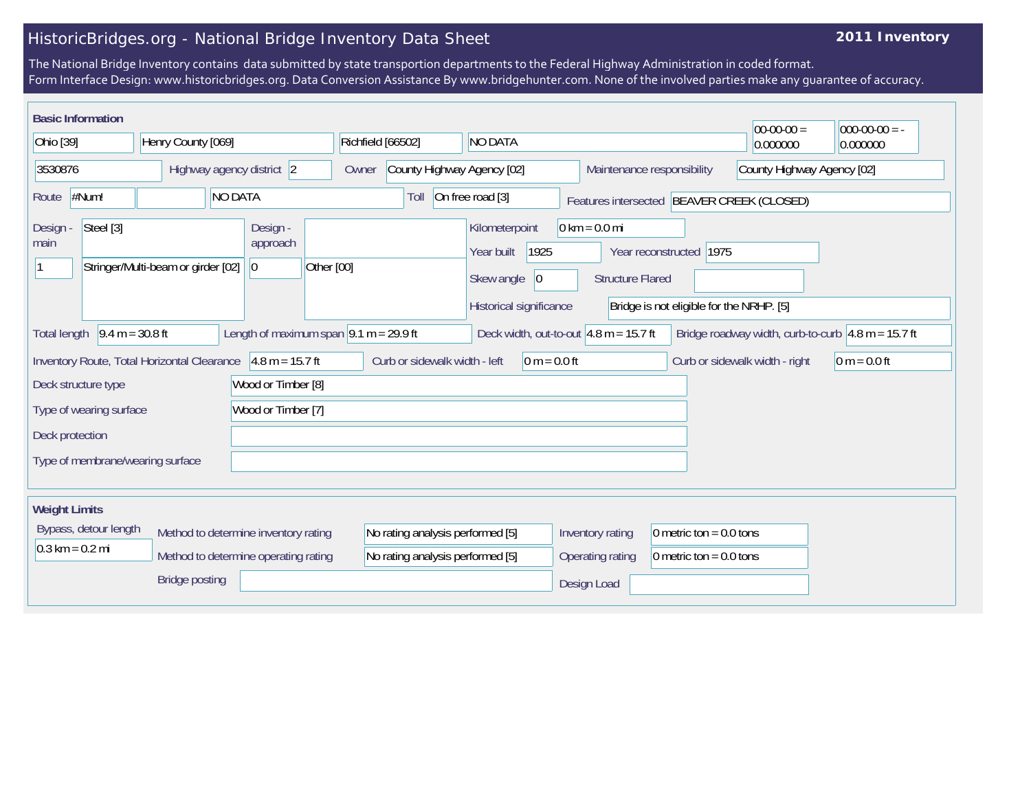## HistoricBridges.org - National Bridge Inventory Data Sheet

## **2011 Inventory**

The National Bridge Inventory contains data submitted by state transportion departments to the Federal Highway Administration in coded format. Form Interface Design: www.historicbridges.org. Data Conversion Assistance By www.bridgehunter.com. None of the involved parties make any guarantee of accuracy.

|                                                                                                               | <b>Basic Information</b>                                                                                                                                                                                                     |                                    |                    |                                                                              |                               |                                     |                                                                      |                                                |                                                            |                                                                     | $ 00-00-00 $               | $ 000-00-00 $ = - |
|---------------------------------------------------------------------------------------------------------------|------------------------------------------------------------------------------------------------------------------------------------------------------------------------------------------------------------------------------|------------------------------------|--------------------|------------------------------------------------------------------------------|-------------------------------|-------------------------------------|----------------------------------------------------------------------|------------------------------------------------|------------------------------------------------------------|---------------------------------------------------------------------|----------------------------|-------------------|
| Ohio [39]                                                                                                     |                                                                                                                                                                                                                              |                                    | Henry County [069] |                                                                              |                               | NO DATA<br>Richfield [66502]        |                                                                      |                                                |                                                            |                                                                     | 0.000000                   | 0.000000          |
| 3530876                                                                                                       |                                                                                                                                                                                                                              |                                    |                    | Highway agency district 2                                                    |                               | County Highway Agency [02]<br>Owner |                                                                      | Maintenance responsibility                     |                                                            |                                                                     | County Highway Agency [02] |                   |
| #Num!<br><b>NO DATA</b><br>Route                                                                              |                                                                                                                                                                                                                              |                                    |                    | Toll                                                                         | On free road [3]              |                                     |                                                                      |                                                | Features intersected BEAVER CREEK (CLOSED)                 |                                                                     |                            |                   |
| Design -<br>main                                                                                              | Steel [3]                                                                                                                                                                                                                    | Stringer/Multi-beam or girder [02] |                    | Design -<br>approach<br> 0                                                   | Other [00]                    |                                     | Kilometerpoint<br>Year built<br>Skew angle                           | 1925<br>$ 0\rangle$<br>Historical significance | $0 \text{ km} = 0.0 \text{ mi}$<br><b>Structure Flared</b> | Year reconstructed 1975<br>Bridge is not eligible for the NRHP. [5] |                            |                   |
|                                                                                                               | $9.4 m = 30.8 ft$<br>Length of maximum span $9.1$ m = 29.9 ft<br>Deck width, out-to-out $ 4.8 \text{ m} = 15.7 \text{ ft} $<br>Bridge roadway width, curb-to-curb $ 4.8 \text{ m} = 15.7 \text{ ft} $<br><b>Total length</b> |                                    |                    |                                                                              |                               |                                     |                                                                      |                                                |                                                            |                                                                     |                            |                   |
| $4.8 m = 15.7 ft$<br>Inventory Route, Total Horizontal Clearance<br>Wood or Timber [8]<br>Deck structure type |                                                                                                                                                                                                                              |                                    |                    |                                                                              | Curb or sidewalk width - left |                                     | $0 m = 0.0 ft$                                                       |                                                |                                                            | Curb or sidewalk width - right                                      | $0 m = 0.0 ft$             |                   |
|                                                                                                               | Type of wearing surface                                                                                                                                                                                                      |                                    |                    | Wood or Timber [7]                                                           |                               |                                     |                                                                      |                                                |                                                            |                                                                     |                            |                   |
| Deck protection                                                                                               |                                                                                                                                                                                                                              |                                    |                    |                                                                              |                               |                                     |                                                                      |                                                |                                                            |                                                                     |                            |                   |
|                                                                                                               | Type of membrane/wearing surface                                                                                                                                                                                             |                                    |                    |                                                                              |                               |                                     |                                                                      |                                                |                                                            |                                                                     |                            |                   |
| <b>Weight Limits</b>                                                                                          |                                                                                                                                                                                                                              |                                    |                    |                                                                              |                               |                                     |                                                                      |                                                |                                                            |                                                                     |                            |                   |
|                                                                                                               | Bypass, detour length<br>$0.3 \text{ km} = 0.2 \text{ mi}$                                                                                                                                                                   |                                    |                    | Method to determine inventory rating<br>Method to determine operating rating |                               |                                     | No rating analysis performed [5]<br>No rating analysis performed [5] |                                                | Inventory rating<br>Operating rating                       | 0 metric ton = $0.0$ tons<br>0 metric ton = $0.0$ tons              |                            |                   |
|                                                                                                               |                                                                                                                                                                                                                              | <b>Bridge posting</b>              |                    |                                                                              |                               |                                     |                                                                      |                                                | Design Load                                                |                                                                     |                            |                   |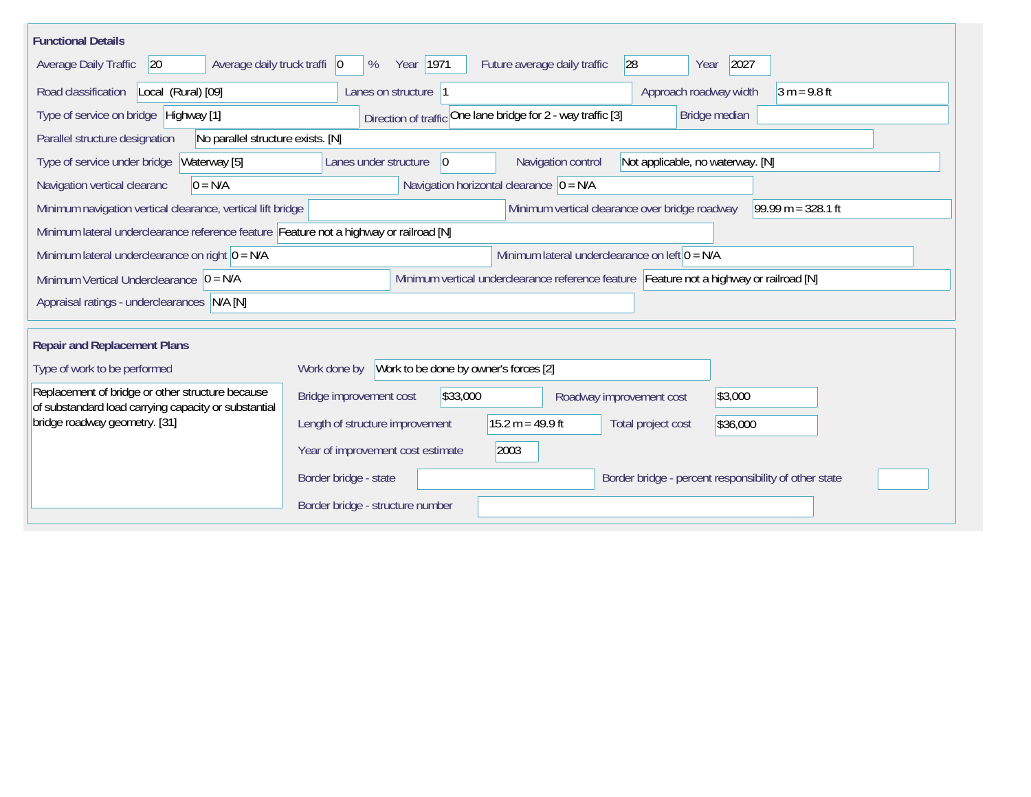| <b>Functional Details</b>                                                                                              |                                                                                                |  |  |  |  |  |
|------------------------------------------------------------------------------------------------------------------------|------------------------------------------------------------------------------------------------|--|--|--|--|--|
| Average daily truck traffi   0<br>Average Daily Traffic<br>20                                                          | 2027<br>Year   1971<br>28<br>Future average daily traffic<br>%<br>Year                         |  |  |  |  |  |
| Road classification<br>Local (Rural) [09]                                                                              | Approach roadway width<br>$3 m = 9.8 ft$<br>Lanes on structure  1                              |  |  |  |  |  |
| Type of service on bridge Highway [1]<br>Direction of traffic One lane bridge for 2 - way traffic [3]<br>Bridge median |                                                                                                |  |  |  |  |  |
| Parallel structure designation<br>No parallel structure exists. [N]                                                    |                                                                                                |  |  |  |  |  |
| Type of service under bridge<br>Waterway [5]                                                                           | Navigation control<br>$ 0\rangle$<br>Not applicable, no waterway. [N]<br>Lanes under structure |  |  |  |  |  |
| $0 = N/A$<br>Navigation vertical clearanc                                                                              | Navigation horizontal clearance $ 0 = N/A$                                                     |  |  |  |  |  |
| Minimum navigation vertical clearance, vertical lift bridge                                                            | Minimum vertical clearance over bridge roadway<br>$99.99 m = 328.1 ft$                         |  |  |  |  |  |
| Minimum lateral underclearance reference feature Feature not a highway or railroad [N]                                 |                                                                                                |  |  |  |  |  |
| Minimum lateral underclearance on right $0 = N/A$                                                                      | Minimum lateral underclearance on left $0 = N/A$                                               |  |  |  |  |  |
| Minimum Vertical Underclearance $ 0 = N/A$                                                                             | Minimum vertical underclearance reference feature Feature not a highway or railroad [N]        |  |  |  |  |  |
| Appraisal ratings - underclearances N/A [N]                                                                            |                                                                                                |  |  |  |  |  |
|                                                                                                                        |                                                                                                |  |  |  |  |  |
| <b>Repair and Replacement Plans</b>                                                                                    |                                                                                                |  |  |  |  |  |
| Type of work to be performed                                                                                           | Work to be done by owner's forces [2]<br>Work done by                                          |  |  |  |  |  |
| Replacement of bridge or other structure because<br>of substandard load carrying capacity or substantial               | Bridge improvement cost<br>\$33,000<br>\$3,000<br>Roadway improvement cost                     |  |  |  |  |  |
| bridge roadway geometry. [31]                                                                                          | $15.2 m = 49.9 ft$<br>Length of structure improvement<br>Total project cost<br>\$36,000        |  |  |  |  |  |
|                                                                                                                        | Year of improvement cost estimate<br>2003                                                      |  |  |  |  |  |
|                                                                                                                        | Border bridge - state<br>Border bridge - percent responsibility of other state                 |  |  |  |  |  |
|                                                                                                                        | Border bridge - structure number                                                               |  |  |  |  |  |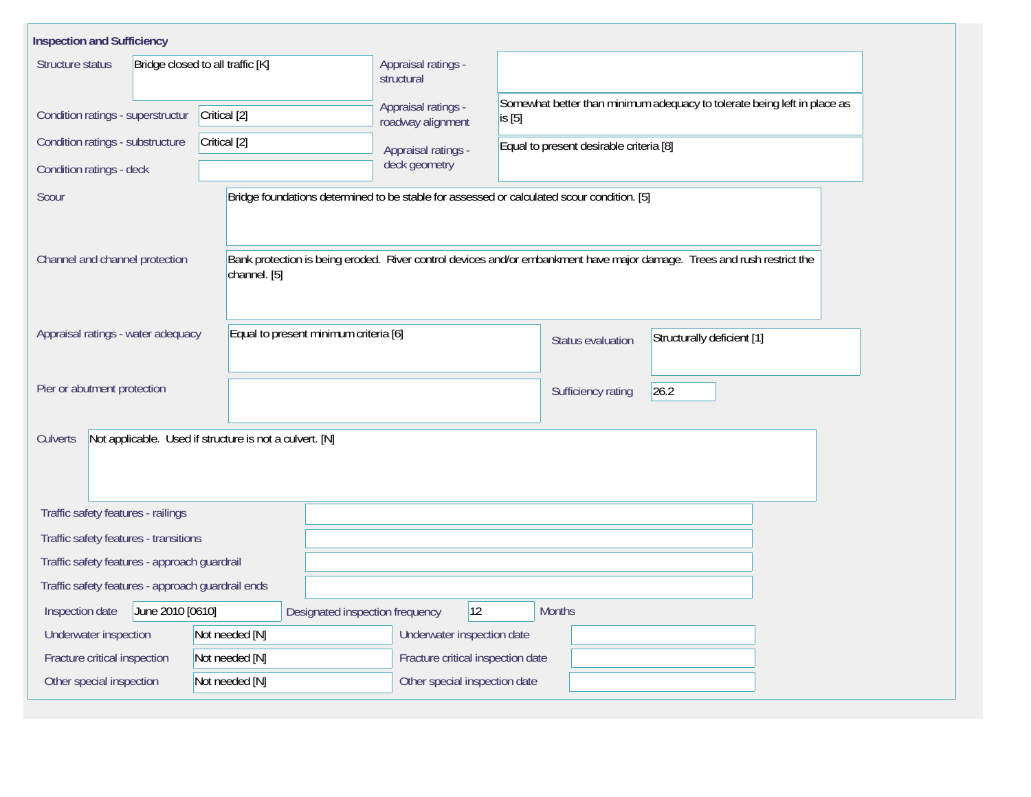| <b>Inspection and Sufficiency</b>                                          |                                       |                                                                                            |                                                                                                                         |  |  |  |  |  |
|----------------------------------------------------------------------------|---------------------------------------|--------------------------------------------------------------------------------------------|-------------------------------------------------------------------------------------------------------------------------|--|--|--|--|--|
| Structure status                                                           | Bridge closed to all traffic [K]      | Appraisal ratings -<br>structural                                                          |                                                                                                                         |  |  |  |  |  |
| Condition ratings - superstructur                                          | Critical [2]                          | Appraisal ratings -<br>roadway alignment                                                   | Somewhat better than minimum adequacy to tolerate being left in place as<br>is [5]                                      |  |  |  |  |  |
| Condition ratings - substructure                                           | Critical [2]                          | Appraisal ratings -                                                                        | Equal to present desirable criteria [8]                                                                                 |  |  |  |  |  |
| Condition ratings - deck                                                   |                                       | deck geometry                                                                              |                                                                                                                         |  |  |  |  |  |
| Scour                                                                      |                                       | Bridge foundations determined to be stable for assessed or calculated scour condition. [5] |                                                                                                                         |  |  |  |  |  |
| Channel and channel protection                                             | channel. [5]                          |                                                                                            | Bank protection is being eroded. River control devices and/or embankment have major damage. Trees and rush restrict the |  |  |  |  |  |
| Appraisal ratings - water adequacy                                         | Equal to present minimum criteria [6] |                                                                                            | Structurally deficient [1]<br>Status evaluation                                                                         |  |  |  |  |  |
| Pier or abutment protection                                                |                                       |                                                                                            | 26.2<br>Sufficiency rating                                                                                              |  |  |  |  |  |
| Not applicable. Used if structure is not a culvert. [N]<br><b>Culverts</b> |                                       |                                                                                            |                                                                                                                         |  |  |  |  |  |
| Traffic safety features - railings                                         |                                       |                                                                                            |                                                                                                                         |  |  |  |  |  |
| Traffic safety features - transitions                                      |                                       |                                                                                            |                                                                                                                         |  |  |  |  |  |
| Traffic safety features - approach guardrail                               |                                       |                                                                                            |                                                                                                                         |  |  |  |  |  |
| Traffic safety features - approach guardrail ends                          |                                       |                                                                                            |                                                                                                                         |  |  |  |  |  |
| Inspection date<br>June 2010 [0610]                                        | Designated inspection frequency       | 12                                                                                         | <b>Months</b>                                                                                                           |  |  |  |  |  |
| Underwater inspection                                                      | Not needed [N]                        | Underwater inspection date                                                                 |                                                                                                                         |  |  |  |  |  |
| Fracture critical inspection                                               | Not needed [N]                        | Fracture critical inspection date                                                          |                                                                                                                         |  |  |  |  |  |
| Other special inspection                                                   | Not needed [N]                        | Other special inspection date                                                              |                                                                                                                         |  |  |  |  |  |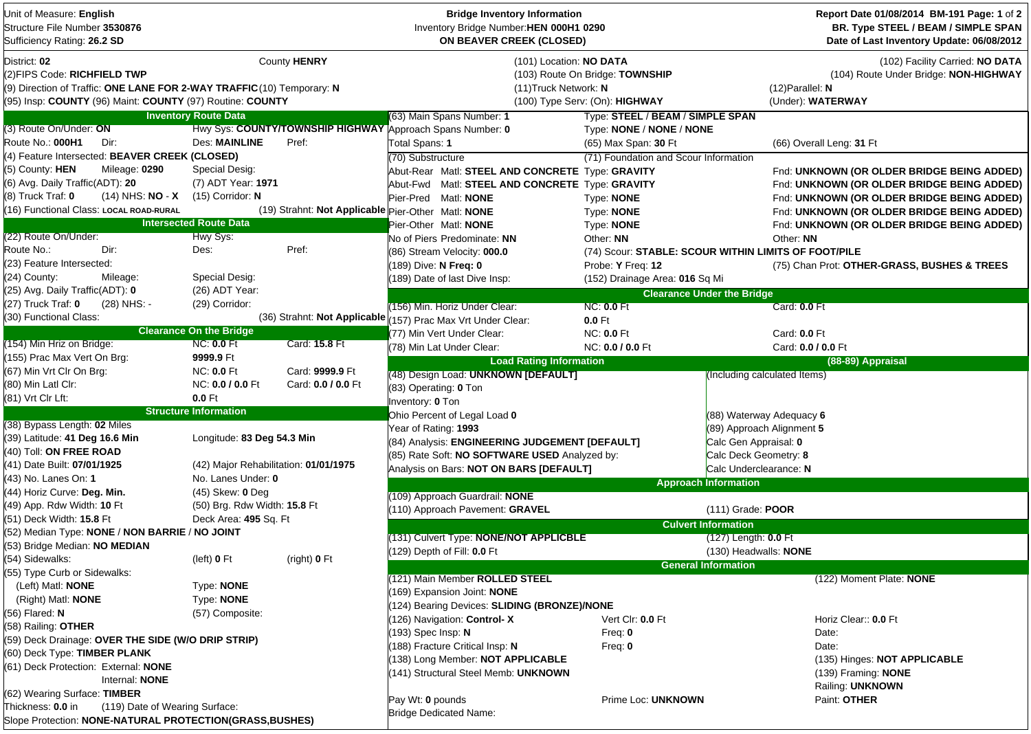| Unit of Measure: English<br>Structure File Number 3530876<br>Sufficiency Rating: 26.2 SD                                                                                           |                                       |                                                    | <b>Bridge Inventory Information</b><br>Inventory Bridge Number: HEN 000H1 0290<br><b>ON BEAVER CREEK (CLOSED)</b> |                                                                                              |                                   | Report Date 01/08/2014 BM-191 Page: 1 of 2<br>BR. Type STEEL / BEAM / SIMPLE SPAN<br>Date of Last Inventory Update: 06/08/2012 |
|------------------------------------------------------------------------------------------------------------------------------------------------------------------------------------|---------------------------------------|----------------------------------------------------|-------------------------------------------------------------------------------------------------------------------|----------------------------------------------------------------------------------------------|-----------------------------------|--------------------------------------------------------------------------------------------------------------------------------|
| District: 02<br>(2)FIPS Code: RICHFIELD TWP<br>(9) Direction of Traffic: ONE LANE FOR 2-WAY TRAFFIC (10) Temporary: N<br>(95) Insp: COUNTY (96) Maint: COUNTY (97) Routine: COUNTY |                                       | County HENRY                                       | (11) Truck Network: N                                                                                             | (101) Location: NO DATA<br>(103) Route On Bridge: TOWNSHIP<br>(100) Type Serv: (On): HIGHWAY |                                   | (102) Facility Carried: NO DATA<br>(104) Route Under Bridge: NON-HIGHWAY<br>$(12)$ Parallel: N<br>(Under): WATERWAY            |
|                                                                                                                                                                                    | <b>Inventory Route Data</b>           |                                                    | (63) Main Spans Number: 1                                                                                         | Type: STEEL / BEAM / SIMPLE SPAN                                                             |                                   |                                                                                                                                |
| (3) Route On/Under: ON                                                                                                                                                             |                                       |                                                    | Hwy Sys: COUNTY/TOWNSHIP HIGHWAY Approach Spans Number: 0                                                         | Type: NONE / NONE / NONE                                                                     |                                   |                                                                                                                                |
| Route No.: 000H1<br>Dir:                                                                                                                                                           | Des: MAINLINE                         | Pref:                                              | Total Spans: 1                                                                                                    | (65) Max Span: 30 Ft                                                                         |                                   | (66) Overall Leng: 31 Ft                                                                                                       |
| (4) Feature Intersected: BEAVER CREEK (CLOSED)                                                                                                                                     |                                       |                                                    | (70) Substructure                                                                                                 | (71) Foundation and Scour Information                                                        |                                   |                                                                                                                                |
| (5) County: HEN<br>Mileage: 0290                                                                                                                                                   | Special Desig:                        |                                                    | Abut-Rear Matl: STEEL AND CONCRETE Type: GRAVITY                                                                  |                                                                                              |                                   | Fnd: UNKNOWN (OR OLDER BRIDGE BEING ADDED)                                                                                     |
| (6) Avg. Daily Traffic(ADT): 20                                                                                                                                                    | (7) ADT Year: 1971                    |                                                    | Abut-Fwd Matl: STEEL AND CONCRETE Type: GRAVITY                                                                   |                                                                                              |                                   | Fnd: UNKNOWN (OR OLDER BRIDGE BEING ADDED)                                                                                     |
| $(14)$ NHS: NO - X<br>$(8)$ Truck Traf: $0$                                                                                                                                        | $(15)$ Corridor: N                    |                                                    | Pier-Pred Matl: NONE                                                                                              | Type: <b>NONE</b>                                                                            |                                   | Fnd: UNKNOWN (OR OLDER BRIDGE BEING ADDED)                                                                                     |
| (16) Functional Class: LOCAL ROAD-RURAL                                                                                                                                            |                                       | (19) Strahnt: Not Applicable Pier-Other Matl: NONE |                                                                                                                   | Type: NONE                                                                                   |                                   | Fnd: UNKNOWN (OR OLDER BRIDGE BEING ADDED)                                                                                     |
|                                                                                                                                                                                    | <b>Intersected Route Data</b>         |                                                    | Pier-Other Matl: NONE                                                                                             | Type: NONE                                                                                   |                                   | Fnd: UNKNOWN (OR OLDER BRIDGE BEING ADDED)                                                                                     |
| (22) Route On/Under:                                                                                                                                                               | Hwy Sys:                              |                                                    | No of Piers Predominate: NN                                                                                       | Other: NN                                                                                    |                                   | Other: NN                                                                                                                      |
| Route No.:<br>Dir:                                                                                                                                                                 | Des:                                  | Pref:                                              | (86) Stream Velocity: 000.0                                                                                       | (74) Scour: STABLE: SCOUR WITHIN LIMITS OF FOOT/PILE                                         |                                   |                                                                                                                                |
| (23) Feature Intersected:                                                                                                                                                          |                                       |                                                    | 189) Dive: N Freq: 0                                                                                              | Probe: Y Freq: 12                                                                            |                                   | (75) Chan Prot: OTHER-GRASS, BUSHES & TREES                                                                                    |
| (24) County:<br>Mileage:                                                                                                                                                           | Special Desig:                        |                                                    | 189) Date of last Dive Insp:                                                                                      | (152) Drainage Area: 016 Sq Mi                                                               |                                   |                                                                                                                                |
| (25) Avg. Daily Traffic(ADT): 0                                                                                                                                                    | (26) ADT Year:                        |                                                    |                                                                                                                   |                                                                                              | <b>Clearance Under the Bridge</b> |                                                                                                                                |
| (27) Truck Traf: 0<br>(28) NHS: -                                                                                                                                                  | (29) Corridor:                        |                                                    | (156) Min. Horiz Under Clear:                                                                                     | <b>NC: 0.0 Ft</b>                                                                            |                                   | Card: 0.0 Ft                                                                                                                   |
| (30) Functional Class:                                                                                                                                                             |                                       | (36) Strahnt: Not Applicable $\sqrt{ }$            | 157) Prac Max Vrt Under Clear:                                                                                    | $0.0$ Ft                                                                                     |                                   |                                                                                                                                |
|                                                                                                                                                                                    | <b>Clearance On the Bridge</b>        |                                                    | (77) Min Vert Under Clear:                                                                                        | <b>NC: 0.0 Ft</b>                                                                            |                                   | Card: 0.0 Ft                                                                                                                   |
| (154) Min Hriz on Bridge:                                                                                                                                                          | <b>NC: 0.0 Ft</b>                     | Card: 15.8 Ft                                      | (78) Min Lat Under Clear:                                                                                         | NC: 0.0 / 0.0 Ft                                                                             |                                   | Card: 0.0 / 0.0 Ft                                                                                                             |
| (155) Prac Max Vert On Brg:                                                                                                                                                        | 9999.9 Ft                             |                                                    | <b>Load Rating Information</b>                                                                                    |                                                                                              |                                   | (88-89) Appraisal                                                                                                              |
| (67) Min Vrt Clr On Brg:                                                                                                                                                           | <b>NC: 0.0 Ft</b>                     | Card: 9999.9 Ft                                    | (48) Design Load: UNKNOWN [DEFAULT]                                                                               |                                                                                              | (Including calculated Items)      |                                                                                                                                |
| (80) Min Latl Clr:                                                                                                                                                                 | NC: 0.0 / 0.0 Ft                      | Card: 0.0 / 0.0 Ft                                 | (83) Operating: 0 Ton                                                                                             |                                                                                              |                                   |                                                                                                                                |
| (81) Vrt Clr Lft:                                                                                                                                                                  | $0.0$ Ft                              |                                                    | Inventory: 0 Ton                                                                                                  |                                                                                              |                                   |                                                                                                                                |
|                                                                                                                                                                                    | <b>Structure Information</b>          |                                                    | Ohio Percent of Legal Load 0                                                                                      |                                                                                              | (88) Waterway Adequacy 6          |                                                                                                                                |
| (38) Bypass Length: 02 Miles                                                                                                                                                       |                                       |                                                    | Year of Rating: 1993                                                                                              |                                                                                              | (89) Approach Alignment 5         |                                                                                                                                |
| (39) Latitude: 41 Deg 16.6 Min                                                                                                                                                     | Longitude: 83 Deg 54.3 Min            |                                                    |                                                                                                                   |                                                                                              |                                   |                                                                                                                                |
| (40) Toll: ON FREE ROAD                                                                                                                                                            |                                       |                                                    | (84) Analysis: ENGINEERING JUDGEMENT [DEFAULT]                                                                    |                                                                                              | Calc Gen Appraisal: 0             |                                                                                                                                |
| (41) Date Built: 07/01/1925                                                                                                                                                        | (42) Major Rehabilitation: 01/01/1975 |                                                    | (85) Rate Soft: NO SOFTWARE USED Analyzed by:                                                                     |                                                                                              | Calc Deck Geometry: 8             |                                                                                                                                |
| (43)  No. Lanes On: <b>1</b>                                                                                                                                                       | No. Lanes Under: 0                    |                                                    | Analysis on Bars: NOT ON BARS [DEFAULT]                                                                           |                                                                                              | Calc Underclearance: N            |                                                                                                                                |
| (44) Horiz Curve: Deg. Min.                                                                                                                                                        | $(45)$ Skew: 0 Deg                    |                                                    |                                                                                                                   |                                                                                              | <b>Approach Information</b>       |                                                                                                                                |
| (49) App. Rdw Width: 10 Ft                                                                                                                                                         | (50) Brg. Rdw Width: 15.8 Ft          |                                                    | (109) Approach Guardrail: NONE                                                                                    |                                                                                              |                                   |                                                                                                                                |
| (51) Deck Width: 15.8 Ft                                                                                                                                                           | Deck Area: 495 Sq. Ft                 |                                                    | 110) Approach Pavement: GRAVEL                                                                                    |                                                                                              | (111) Grade: POOR                 |                                                                                                                                |
| (52) Median Type: NONE / NON BARRIE / NO JOINT                                                                                                                                     |                                       |                                                    |                                                                                                                   |                                                                                              | <b>Culvert Information</b>        |                                                                                                                                |
| (53) Bridge Median: NO MEDIAN                                                                                                                                                      |                                       |                                                    | (131) Culvert Type: NONE/NOT APPLICBLE                                                                            |                                                                                              | (127) Length: 0.0 Ft              |                                                                                                                                |
| (54) Sidewalks:                                                                                                                                                                    | (left) 0 Ft                           | (right) 0 Ft                                       | 129) Depth of Fill: 0.0 Ft                                                                                        |                                                                                              | (130) Headwalls: <b>NONE</b>      |                                                                                                                                |
| (55) Type Curb or Sidewalks:                                                                                                                                                       |                                       |                                                    |                                                                                                                   |                                                                                              | <b>General Information</b>        |                                                                                                                                |
| (Left) Matl: <b>NONE</b>                                                                                                                                                           | Type: NONE                            |                                                    | (121) Main Member ROLLED STEEL                                                                                    |                                                                                              |                                   | (122) Moment Plate: NONE                                                                                                       |
| (Right) Matl: <b>NONE</b>                                                                                                                                                          | Type: NONE                            |                                                    | 169) Expansion Joint: NONE                                                                                        |                                                                                              |                                   |                                                                                                                                |
| (56) Flared: N                                                                                                                                                                     | (57) Composite:                       |                                                    | 124) Bearing Devices: SLIDING (BRONZE)/NONE                                                                       |                                                                                              |                                   |                                                                                                                                |
|                                                                                                                                                                                    |                                       |                                                    | 126) Navigation: Control-X                                                                                        | Vert Clr: 0.0 Ft                                                                             |                                   | Horiz Clear:: 0.0 Ft                                                                                                           |
| (58) Railing: OTHER                                                                                                                                                                |                                       |                                                    | 193) Spec Insp: N                                                                                                 | Freq: $0$                                                                                    |                                   | Date:                                                                                                                          |
| (59) Deck Drainage: OVER THE SIDE (W/O DRIP STRIP)<br>(60) Deck Type: TIMBER PLANK                                                                                                 |                                       |                                                    | 188) Fracture Critical Insp: N                                                                                    | Freq: $0$                                                                                    |                                   | Date:                                                                                                                          |
|                                                                                                                                                                                    |                                       |                                                    | 138) Long Member: NOT APPLICABLE                                                                                  |                                                                                              |                                   | (135) Hinges: NOT APPLICABLE                                                                                                   |
| (61) Deck Protection: External: NONE                                                                                                                                               |                                       |                                                    | 141) Structural Steel Memb: UNKNOWN                                                                               |                                                                                              |                                   | (139) Framing: NONE                                                                                                            |
| Internal: NONE                                                                                                                                                                     |                                       |                                                    |                                                                                                                   |                                                                                              |                                   | Railing: UNKNOWN                                                                                                               |
| (62) Wearing Surface: TIMBER                                                                                                                                                       |                                       |                                                    | Pay Wt: 0 pounds                                                                                                  | Prime Loc: UNKNOWN                                                                           |                                   | Paint: OTHER                                                                                                                   |
| (119) Date of Wearing Surface:<br>Thickness: 0.0 in                                                                                                                                |                                       |                                                    | <b>Bridge Dedicated Name:</b>                                                                                     |                                                                                              |                                   |                                                                                                                                |
| Slope Protection: NONE-NATURAL PROTECTION(GRASS, BUSHES)                                                                                                                           |                                       |                                                    |                                                                                                                   |                                                                                              |                                   |                                                                                                                                |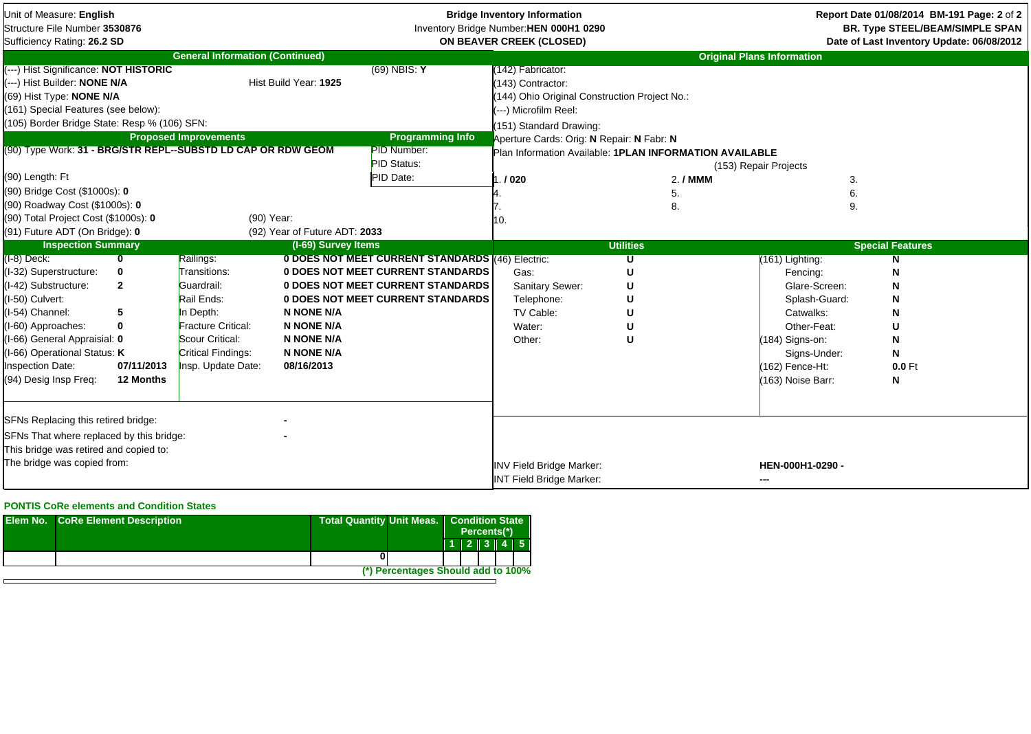| Unit of Measure: English<br>Structure File Number 3530876<br>Sufficiency Rating: 26.2 SD                                                                                                                                                                                    |                         |                                        |                               |                                                                                             | <b>Bridge Inventory Information</b><br>Inventory Bridge Number: HEN 000H1 0290<br>ON BEAVER CREEK (CLOSED)                                                                                        |                                                                      |                                   | Report Date 01/08/2014 BM-191 Page: 2 of 2<br><b>BR. Type STEEL/BEAM/SIMPLE SPAN</b><br>Date of Last Inventory Update: 06/08/2012 |
|-----------------------------------------------------------------------------------------------------------------------------------------------------------------------------------------------------------------------------------------------------------------------------|-------------------------|----------------------------------------|-------------------------------|---------------------------------------------------------------------------------------------|---------------------------------------------------------------------------------------------------------------------------------------------------------------------------------------------------|----------------------------------------------------------------------|-----------------------------------|-----------------------------------------------------------------------------------------------------------------------------------|
|                                                                                                                                                                                                                                                                             |                         | <b>General Information (Continued)</b> |                               |                                                                                             |                                                                                                                                                                                                   |                                                                      | <b>Original Plans Information</b> |                                                                                                                                   |
| (---) Hist Significance: NOT HISTORIC<br>(---) Hist Builder: NONE N/A<br>(69) Hist Type: NONE N/A<br>(161) Special Features (see below):<br>(105) Border Bridge State: Resp % (106) SFN:<br>(90) Type Work: 31 - BRG/STR REPL--SUBSTD LD CAP OR RDW GEOM<br>(90) Length: Ft |                         | <b>Proposed Improvements</b>           | Hist Build Year: 1925         | $(69)$ NBIS: Y<br><b>Programming Info</b><br>PID Number:<br><b>PID Status:</b><br>PID Date: | (142) Fabricator:<br>(143) Contractor:<br>(144) Ohio Original Construction Project No.:<br>(---) Microfilm Reel:<br>(151) Standard Drawing:<br>Aperture Cards: Orig: N Repair: N Fabr: N<br>.1020 | Plan Information Available: 1PLAN INFORMATION AVAILABLE<br>$2.7$ MMM | (153) Repair Projects<br>3.       |                                                                                                                                   |
| (90) Bridge Cost (\$1000s): 0                                                                                                                                                                                                                                               |                         |                                        |                               |                                                                                             |                                                                                                                                                                                                   | 5.                                                                   | 6.                                |                                                                                                                                   |
| (90) Roadway Cost (\$1000s): 0                                                                                                                                                                                                                                              |                         |                                        |                               |                                                                                             |                                                                                                                                                                                                   | 8.                                                                   | 9.                                |                                                                                                                                   |
| (90) Total Project Cost (\$1000s): 0<br>(91) Future ADT (On Bridge): 0                                                                                                                                                                                                      |                         | (90) Year:                             | (92) Year of Future ADT: 2033 |                                                                                             | 10.                                                                                                                                                                                               |                                                                      |                                   |                                                                                                                                   |
| <b>Inspection Summary</b>                                                                                                                                                                                                                                                   |                         |                                        | (I-69) Survey Items           |                                                                                             |                                                                                                                                                                                                   | <b>Utilities</b>                                                     |                                   | <b>Special Features</b>                                                                                                           |
| $(I-8)$ Deck:                                                                                                                                                                                                                                                               | $\overline{\mathbf{0}}$ | Railings:                              |                               | 0 DOES NOT MEET CURRENT STANDARDS (46) Electric:                                            |                                                                                                                                                                                                   | U                                                                    | (161) Lighting:                   | N                                                                                                                                 |
| (I-32) Superstructure:                                                                                                                                                                                                                                                      | 0                       | Transitions:                           |                               | <b>0 DOES NOT MEET CURRENT STANDARDS</b>                                                    | Gas:                                                                                                                                                                                              | U                                                                    | Fencing:                          | N                                                                                                                                 |
| (I-42) Substructure:                                                                                                                                                                                                                                                        | $\mathbf{2}$            | Guardrail:                             |                               | 0 DOES NOT MEET CURRENT STANDARDS                                                           | Sanitary Sewer:                                                                                                                                                                                   | U                                                                    | Glare-Screen:                     | N                                                                                                                                 |
| (I-50) Culvert:                                                                                                                                                                                                                                                             |                         | Rail Ends:                             |                               | 0 DOES NOT MEET CURRENT STANDARDS                                                           | Telephone:                                                                                                                                                                                        | U                                                                    | Splash-Guard:                     | N                                                                                                                                 |
| I-54) Channel:                                                                                                                                                                                                                                                              | 5                       | In Depth:                              | <b>N NONE N/A</b>             |                                                                                             | TV Cable:                                                                                                                                                                                         |                                                                      | Catwalks:                         | N                                                                                                                                 |
| (I-60) Approaches:                                                                                                                                                                                                                                                          | 0                       | <b>Fracture Critical:</b>              | <b>N NONE N/A</b>             |                                                                                             | Water:                                                                                                                                                                                            |                                                                      | Other-Feat:                       | U                                                                                                                                 |
| I-66) General Appraisial: 0                                                                                                                                                                                                                                                 |                         | Scour Critical:                        | <b>N NONE N/A</b>             |                                                                                             | Other:                                                                                                                                                                                            | U                                                                    | (184) Signs-on:                   | N                                                                                                                                 |
| I-66) Operational Status: K                                                                                                                                                                                                                                                 |                         | Critical Findings:                     | <b>N NONE N/A</b>             |                                                                                             |                                                                                                                                                                                                   |                                                                      | Signs-Under:                      | N                                                                                                                                 |
| nspection Date:                                                                                                                                                                                                                                                             | 07/11/2013              | Insp. Update Date:                     | 08/16/2013                    |                                                                                             |                                                                                                                                                                                                   |                                                                      | (162) Fence-Ht:                   | $0.0$ Ft                                                                                                                          |
| (94) Desig Insp Freq:                                                                                                                                                                                                                                                       | 12 Months               |                                        |                               |                                                                                             |                                                                                                                                                                                                   |                                                                      | (163) Noise Barr:                 | N                                                                                                                                 |
|                                                                                                                                                                                                                                                                             |                         |                                        |                               |                                                                                             |                                                                                                                                                                                                   |                                                                      |                                   |                                                                                                                                   |
|                                                                                                                                                                                                                                                                             |                         |                                        |                               |                                                                                             |                                                                                                                                                                                                   |                                                                      |                                   |                                                                                                                                   |
| SFNs Replacing this retired bridge:                                                                                                                                                                                                                                         |                         |                                        |                               |                                                                                             |                                                                                                                                                                                                   |                                                                      |                                   |                                                                                                                                   |
| SFNs That where replaced by this bridge:                                                                                                                                                                                                                                    |                         |                                        |                               |                                                                                             |                                                                                                                                                                                                   |                                                                      |                                   |                                                                                                                                   |
|                                                                                                                                                                                                                                                                             |                         |                                        |                               |                                                                                             |                                                                                                                                                                                                   |                                                                      |                                   |                                                                                                                                   |
| This bridge was retired and copied to:<br>The bridge was copied from:                                                                                                                                                                                                       |                         |                                        |                               |                                                                                             | <b>INV Field Bridge Marker:</b><br><b>INT Field Bridge Marker:</b>                                                                                                                                |                                                                      | HEN-000H1-0290 -<br>---           |                                                                                                                                   |

## **PONTIS CoRe elements and Condition States**

| <b>Elem No. CoRe Element Description</b> | <b>Total Quantity Unit Meas.</b> |                                    | <b>Condition State</b><br>Percents(*) |  |  |  |           |
|------------------------------------------|----------------------------------|------------------------------------|---------------------------------------|--|--|--|-----------|
|                                          |                                  |                                    |                                       |  |  |  | 1 2 3 4 5 |
|                                          |                                  |                                    |                                       |  |  |  |           |
|                                          |                                  | (*) Percentages Should add to 100% |                                       |  |  |  |           |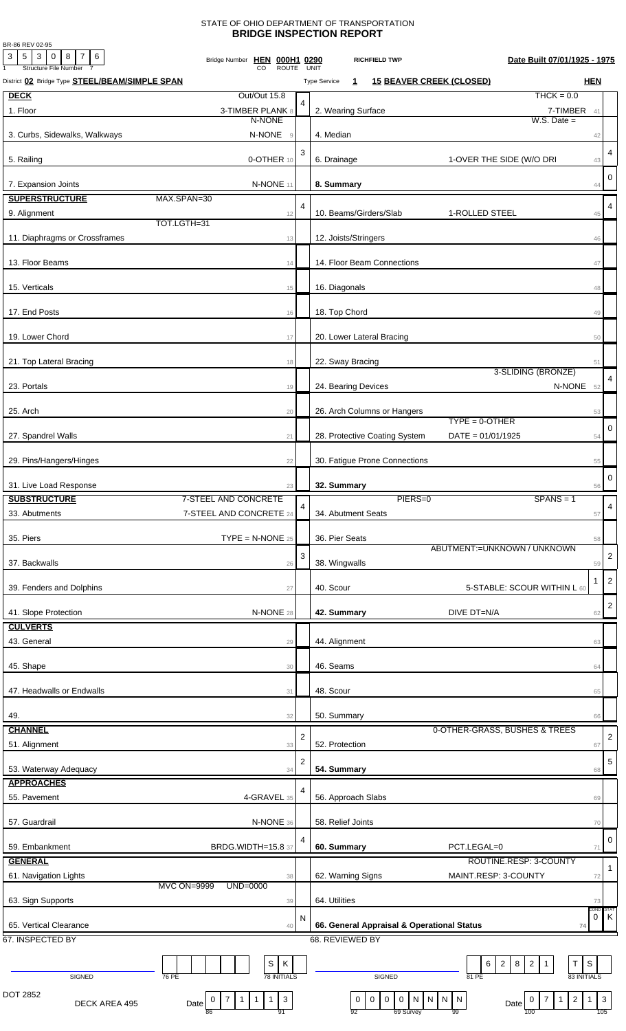## STATE OF OHIO DEPARTMENT OF TRANSPORTATION **BRIDGE INSPECTION REPORT**

BR-86 REV 02-95

| 3<br>$5 \mid 3 \mid 0 \mid 8 \mid 7 \mid 6$<br><b>Structure File Number</b> | Bridge Number HEN 000H1 0290<br><b>ROUTE</b>                                   |                | Date Built 07/01/1925 - 1975<br><b>RICHFIELD TWP</b><br>UNIT                                                                                                                                          |                         |
|-----------------------------------------------------------------------------|--------------------------------------------------------------------------------|----------------|-------------------------------------------------------------------------------------------------------------------------------------------------------------------------------------------------------|-------------------------|
| District 02 Bridge Type <b>STEEL/BEAM/SIMPLE SPAN</b>                       |                                                                                |                | <b>15 BEAVER CREEK (CLOSED)</b><br><b>HEN</b><br><b>Type Service</b><br>$\mathbf{1}$                                                                                                                  |                         |
| <b>DECK</b>                                                                 | Out/Out 15.8                                                                   |                | $THCK = 0.0$                                                                                                                                                                                          |                         |
| 1. Floor                                                                    | 3-TIMBER PLANK 8                                                               |                | 2. Wearing Surface<br>7-TIMBER 41                                                                                                                                                                     |                         |
|                                                                             | N-NONE                                                                         |                | $W.S.$ Date $=$                                                                                                                                                                                       |                         |
| 3. Curbs, Sidewalks, Walkways                                               | N-NONE<br>$\overline{9}$                                                       |                | 4. Median<br>42                                                                                                                                                                                       |                         |
|                                                                             |                                                                                | 3              |                                                                                                                                                                                                       | $\overline{4}$          |
| 5. Railing                                                                  | 0-OTHER 10                                                                     |                | 6. Drainage<br>1-OVER THE SIDE (W/O DRI<br>43                                                                                                                                                         |                         |
| 7. Expansion Joints                                                         | N-NONE 11                                                                      |                | 8. Summary<br>44                                                                                                                                                                                      | $\mathbf 0$             |
| <b>SUPERSTRUCTURE</b>                                                       | MAX.SPAN=30                                                                    |                |                                                                                                                                                                                                       |                         |
| 9. Alignment                                                                |                                                                                | 4              | 10. Beams/Girders/Slab<br>1-ROLLED STEEL                                                                                                                                                              | $\overline{4}$          |
|                                                                             | 12<br>TOT.LGTH=31                                                              |                | 45                                                                                                                                                                                                    |                         |
| 11. Diaphragms or Crossframes                                               | 13                                                                             |                | 12. Joists/Stringers<br>46                                                                                                                                                                            |                         |
|                                                                             |                                                                                |                |                                                                                                                                                                                                       |                         |
| 13. Floor Beams                                                             | 14                                                                             |                | 14. Floor Beam Connections<br>47                                                                                                                                                                      |                         |
|                                                                             |                                                                                |                |                                                                                                                                                                                                       |                         |
| 15. Verticals                                                               | 15                                                                             |                | 16. Diagonals<br>48                                                                                                                                                                                   |                         |
| 17. End Posts                                                               |                                                                                |                | 18. Top Chord                                                                                                                                                                                         |                         |
|                                                                             | 16                                                                             |                | 49                                                                                                                                                                                                    |                         |
| 19. Lower Chord                                                             | 17                                                                             |                | 20. Lower Lateral Bracing<br>50                                                                                                                                                                       |                         |
|                                                                             |                                                                                |                |                                                                                                                                                                                                       |                         |
| 21. Top Lateral Bracing                                                     | 18                                                                             |                | 22. Sway Bracing<br>51                                                                                                                                                                                |                         |
|                                                                             |                                                                                |                | 3-SLIDING (BRONZE)                                                                                                                                                                                    | $\overline{4}$          |
| 23. Portals                                                                 | 19                                                                             |                | N-NONE 52<br>24. Bearing Devices                                                                                                                                                                      |                         |
|                                                                             |                                                                                |                |                                                                                                                                                                                                       |                         |
| 25. Arch                                                                    | 20                                                                             |                | 26. Arch Columns or Hangers<br>53<br>$TYPE = 0 - OTHER$                                                                                                                                               |                         |
| 27. Spandrel Walls                                                          |                                                                                |                | 28. Protective Coating System<br>$DATA = 01/01/1925$                                                                                                                                                  | 0                       |
|                                                                             | 21                                                                             |                | 54                                                                                                                                                                                                    |                         |
| 29. Pins/Hangers/Hinges                                                     | 22                                                                             |                | 30. Fatigue Prone Connections<br>55                                                                                                                                                                   |                         |
|                                                                             |                                                                                |                |                                                                                                                                                                                                       |                         |
| 31. Live Load Response                                                      | 23                                                                             |                | 32. Summary<br>56                                                                                                                                                                                     | 0                       |
| <b>SUBSTRUCTURE</b>                                                         | 7-STEEL AND CONCRETE                                                           |                | PIERS=0<br>$SPANS = 1$                                                                                                                                                                                |                         |
| 33. Abutments                                                               | 7-STEEL AND CONCRETE 24                                                        | 4              | 34. Abutment Seats<br>57                                                                                                                                                                              | $\overline{\mathbf{4}}$ |
|                                                                             |                                                                                |                |                                                                                                                                                                                                       |                         |
| 35. Piers                                                                   | $\mathsf{TYPE} = \mathsf{N}\text{-}\mathsf{NONE}$ 25                           |                | 36. Pier Seats<br>58                                                                                                                                                                                  |                         |
|                                                                             |                                                                                | 3              | ABUTMENT:= UNKNOWN / UNKNOWN                                                                                                                                                                          | $\overline{2}$          |
| 37. Backwalls                                                               | 26                                                                             |                | 38. Wingwalls<br>59                                                                                                                                                                                   |                         |
| 39. Fenders and Dolphins                                                    |                                                                                |                | -1<br>40. Scour<br>5-STABLE: SCOUR WITHIN L 60                                                                                                                                                        | $\overline{c}$          |
|                                                                             | 27                                                                             |                |                                                                                                                                                                                                       |                         |
| 41. Slope Protection                                                        | N-NONE 28                                                                      |                | 42. Summary<br>DIVE DT=N/A<br>62                                                                                                                                                                      | $\sqrt{2}$              |
| <b>CULVERTS</b>                                                             |                                                                                |                |                                                                                                                                                                                                       |                         |
| 43. General                                                                 | 29                                                                             |                | 44. Alignment<br>63                                                                                                                                                                                   |                         |
|                                                                             |                                                                                |                |                                                                                                                                                                                                       |                         |
| 45. Shape                                                                   | 30                                                                             |                | 46. Seams<br>64                                                                                                                                                                                       |                         |
|                                                                             |                                                                                |                |                                                                                                                                                                                                       |                         |
| 47. Headwalls or Endwalls                                                   | 31                                                                             |                | 48. Scour<br>65                                                                                                                                                                                       |                         |
|                                                                             |                                                                                |                |                                                                                                                                                                                                       |                         |
| 49.                                                                         | 32                                                                             |                | 50. Summary<br>66                                                                                                                                                                                     |                         |
| <b>CHANNEL</b>                                                              |                                                                                | $\overline{2}$ | 0-OTHER-GRASS, BUSHES & TREES                                                                                                                                                                         | $\overline{\mathbf{c}}$ |
| 51. Alignment                                                               | 33                                                                             |                | 52. Protection<br>67                                                                                                                                                                                  |                         |
| 53. Waterway Adequacy                                                       | 34                                                                             | 2              | 54. Summary<br>68                                                                                                                                                                                     | 5                       |
| <b>APPROACHES</b>                                                           |                                                                                |                |                                                                                                                                                                                                       |                         |
| 55. Pavement                                                                | 4-GRAVEL 35                                                                    | 4              | 56. Approach Slabs<br>69                                                                                                                                                                              |                         |
|                                                                             |                                                                                |                |                                                                                                                                                                                                       |                         |
| 57. Guardrail                                                               | N-NONE 36                                                                      |                | 58. Relief Joints<br>70                                                                                                                                                                               |                         |
|                                                                             |                                                                                | 4              |                                                                                                                                                                                                       | 0                       |
| 59. Embankment                                                              | <b>BRDG.WIDTH=15.8 37</b>                                                      |                | 60. Summary<br>PCT.LEGAL=0<br>71                                                                                                                                                                      |                         |
| <b>GENERAL</b>                                                              |                                                                                |                | ROUTINE.RESP: 3-COUNTY                                                                                                                                                                                |                         |
| 61. Navigation Lights                                                       | 38                                                                             |                | MAINT.RESP: 3-COUNTY<br>62. Warning Signs<br>72                                                                                                                                                       | $\mathbf{1}$            |
|                                                                             | <b>MVC ON=9999</b><br>UND=0000                                                 |                |                                                                                                                                                                                                       |                         |
| 63. Sign Supports                                                           | 39                                                                             |                | 64. Utilities<br>73<br>COND:                                                                                                                                                                          | STAT                    |
|                                                                             |                                                                                | N              | 0                                                                                                                                                                                                     | ΙK                      |
| 65. Vertical Clearance                                                      | 40                                                                             |                | 66. General Appraisal & Operational Status<br>74                                                                                                                                                      |                         |
| 67. INSPECTED BY                                                            |                                                                                |                | 68. REVIEWED BY                                                                                                                                                                                       |                         |
|                                                                             | S<br>К                                                                         |                | $\overline{2}$<br>$\overline{2}$<br>S<br>6<br>8<br>Т<br>$\mathbf{1}$                                                                                                                                  |                         |
| SIGNED                                                                      | <b>78 INITIALS</b><br>76 PE                                                    |                | 83 INITIALS<br>SIGNED<br>81 PE                                                                                                                                                                        |                         |
| DOT 2852                                                                    |                                                                                |                |                                                                                                                                                                                                       |                         |
| DECK AREA 495                                                               | $\mathbf{3}$<br>$\mathbf{1}$<br>$\mathbf{1}$<br>0<br>7<br>$\mathbf{1}$<br>Date |                | $\overline{2}$<br>$\mathsf{O}\xspace$<br>$\boldsymbol{0}$<br>${\sf N}$<br>$\vert N \vert$<br>$\mathbf{3}$<br>$\bf{0}$<br>$\overline{0}$<br>N<br>$\mathbf{1}$<br>$\overline{N}$<br>7<br>0<br>1<br>Date |                         |
|                                                                             | 91<br>86                                                                       |                | 105<br>69 Survey<br>92<br>99<br>100                                                                                                                                                                   |                         |